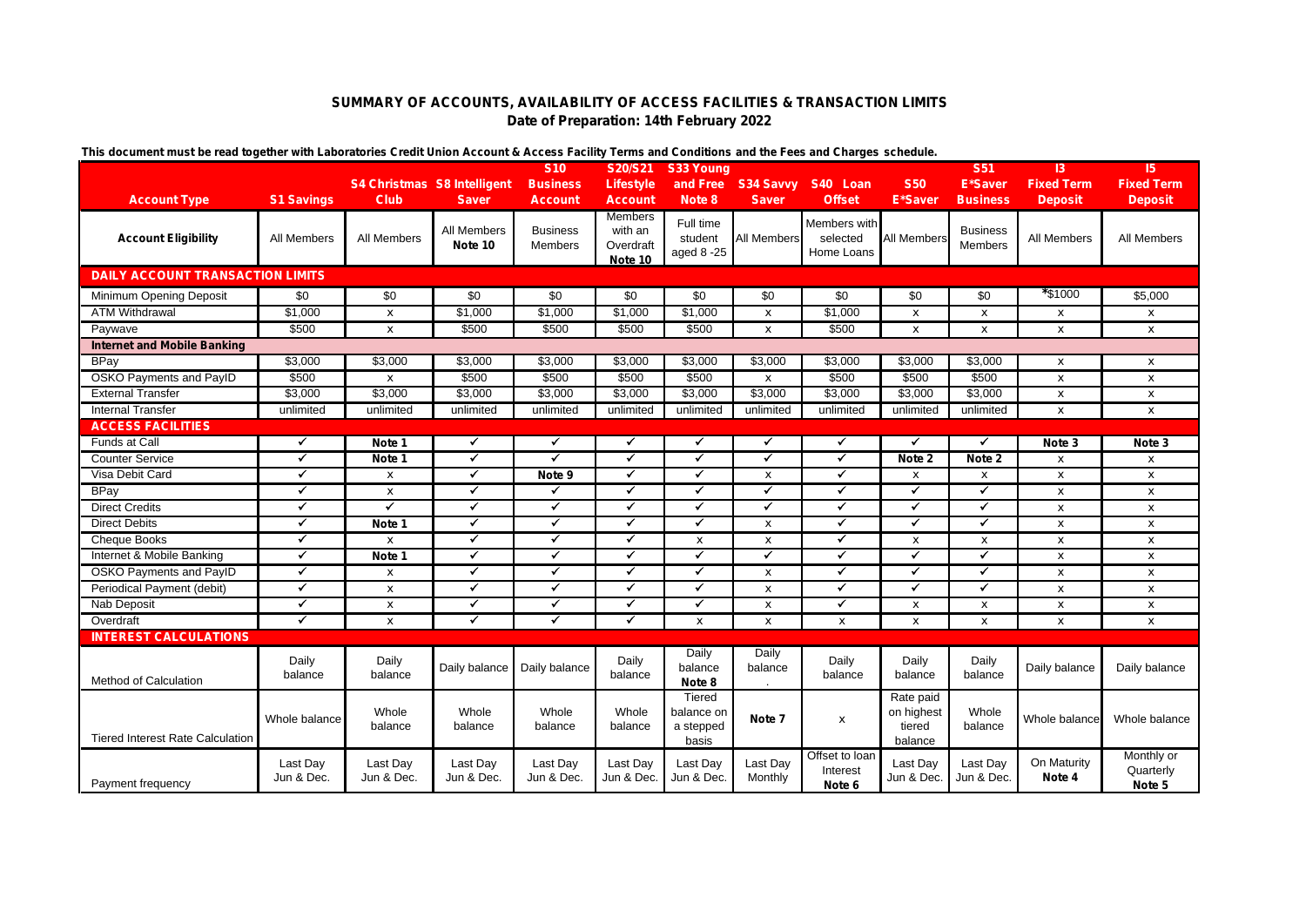## **SUMMARY OF ACCOUNTS, AVAILABILITY OF ACCESS FACILITIES & TRANSACTION LIMITS Date of Preparation: 14th February 2022**

| mo avvanchi masi bo road ivyomor min Laboratorico Oroan Omon Avvodin a Avvosi rading Tomis and Oondidons and inc r oco and Onaryto Sonodulo. |                        |                                    |                        | <b>S10</b>                 | S20/S21                                           | S33 Young                                  |                           |                                        |                                              | <b>S51</b>                 | 3                     | 15                                |
|----------------------------------------------------------------------------------------------------------------------------------------------|------------------------|------------------------------------|------------------------|----------------------------|---------------------------------------------------|--------------------------------------------|---------------------------|----------------------------------------|----------------------------------------------|----------------------------|-----------------------|-----------------------------------|
|                                                                                                                                              |                        | <b>S4 Christmas S8 Intelligent</b> |                        | <b>Business</b>            | <b>Lifestyle</b>                                  |                                            |                           | and Free S34 Savvy S40 Loan            | <b>S50</b>                                   | <b>E*Saver</b>             | <b>Fixed Term</b>     | <b>Fixed Term</b>                 |
| <b>Account Type</b>                                                                                                                          | <b>S1 Savings</b>      | <b>Club</b>                        | <b>Saver</b>           | <b>Account</b>             | <b>Account</b>                                    | Note 8                                     | <b>Saver</b>              | <b>Offset</b>                          | <b>E*Saver</b>                               | <b>Business</b>            | <b>Deposit</b>        | <b>Deposit</b>                    |
| <b>Account Eligibility</b>                                                                                                                   | All Members            | All Members                        | All Members<br>Note 10 | <b>Business</b><br>Members | <b>Members</b><br>with an<br>Overdraft<br>Note 10 | Full time<br>student<br>aged 8 -25         | All Members               | Members with<br>selected<br>Home Loans | <b>All Members</b>                           | <b>Business</b><br>Members | <b>All Members</b>    | All Members                       |
| <b>DAILY ACCOUNT TRANSACTION LIMITS</b>                                                                                                      |                        |                                    |                        |                            |                                                   |                                            |                           |                                        |                                              |                            |                       |                                   |
| Minimum Opening Deposit                                                                                                                      | \$0                    | \$0                                | \$0                    | \$0                        | \$0                                               | \$0                                        | \$0                       | \$0                                    | \$0                                          | \$0                        | *\$1000               | \$5,000                           |
| <b>ATM Withdrawal</b>                                                                                                                        | \$1,000                | $\pmb{\chi}$                       | \$1,000                | \$1,000                    | \$1,000                                           | \$1,000                                    | $\boldsymbol{\mathsf{x}}$ | \$1,000                                | $\mathbf{x}$                                 | $\pmb{\mathsf{x}}$         | $\pmb{\mathsf{x}}$    | x                                 |
| Paywave                                                                                                                                      | \$500                  | $\mathbf{x}$                       | \$500                  | \$500                      | \$500                                             | \$500                                      | $\boldsymbol{x}$          | \$500                                  | $\mathbf{x}$                                 | $\mathbf{x}$               | $\mathbf{x}$          | x                                 |
| <b>Internet and Mobile Banking</b>                                                                                                           |                        |                                    |                        |                            |                                                   |                                            |                           |                                        |                                              |                            |                       |                                   |
| <b>BPay</b>                                                                                                                                  | \$3,000                | \$3,000                            | \$3,000                | \$3,000                    | \$3,000                                           | \$3,000                                    | \$3,000                   | \$3,000                                | \$3,000                                      | \$3,000                    | $\mathbf{x}$          | x                                 |
| <b>OSKO Payments and PayID</b>                                                                                                               | \$500                  | $\boldsymbol{\mathsf{x}}$          | \$500                  | \$500                      | \$500                                             | \$500                                      | $\pmb{\chi}$              | \$500                                  | \$500                                        | \$500                      | $\mathbf{x}$          | x                                 |
| <b>External Transfer</b>                                                                                                                     | \$3,000                | \$3,000                            | \$3,000                | \$3,000                    | \$3,000                                           | \$3,000                                    | \$3,000                   | \$3,000                                | \$3,000                                      | \$3,000                    | $\pmb{\mathsf{x}}$    | x                                 |
| <b>Internal Transfer</b>                                                                                                                     | unlimited              | unlimited                          | unlimited              | unlimited                  | unlimited                                         | unlimited                                  | unlimited                 | unlimited                              | unlimited                                    | unlimited                  | $\mathbf{x}$          | $\mathbf{x}$                      |
| <b>ACCESS FACILITIES</b>                                                                                                                     |                        |                                    |                        |                            |                                                   |                                            |                           |                                        |                                              |                            |                       |                                   |
| Funds at Call                                                                                                                                | $\checkmark$           | Note 1                             | ✓                      | $\checkmark$               | ✓                                                 | ✓                                          | ✓                         | ✓                                      | $\checkmark$                                 | ✓                          | Note 3                | Note 3                            |
| <b>Counter Service</b>                                                                                                                       | $\blacktriangledown$   | Note 1                             | $\checkmark$           | $\overline{\checkmark}$    | $\checkmark$                                      | ✓                                          | $\checkmark$              | ✓                                      | Note 2                                       | Note 2                     | $\mathbf{x}$          | x                                 |
| Visa Debit Card                                                                                                                              | $\blacktriangledown$   | $\mathbf{x}$                       | $\blacktriangledown$   | Note 9                     | ✓                                                 | ✓                                          | $\pmb{\chi}$              | ✓                                      | $\mathbf{x}$                                 | $\pmb{\mathsf{x}}$         | $\mathbf{x}$          | x                                 |
| BPay                                                                                                                                         | $\checkmark$           | $\mathbf{x}$                       | $\checkmark$           | ✔                          | ✓                                                 | ✓                                          | $\checkmark$              | ✓                                      | ✓                                            | ✔                          | $\mathbf{x}$          | x                                 |
| <b>Direct Credits</b>                                                                                                                        | $\blacktriangledown$   | ✓                                  | $\checkmark$           | $\checkmark$               | $\checkmark$                                      | ✔                                          | ✓                         | ✓                                      | ✓                                            | ✔                          | $\mathbf{x}$          | x                                 |
| <b>Direct Debits</b>                                                                                                                         | $\checkmark$           | Note 1                             | ✓                      | ✓                          | ✓                                                 | ✓                                          | $\boldsymbol{\mathsf{x}}$ | ✓                                      | ✓                                            | ✓                          | $\pmb{\mathsf{x}}$    | x                                 |
| <b>Cheque Books</b>                                                                                                                          | $\checkmark$           | $\mathbf{x}$                       | $\blacktriangledown$   | $\checkmark$               | ✓                                                 | $\mathbf{x}$                               | X                         | ✓                                      | $\mathbf{x}$                                 | $\mathbf{x}$               | $\mathbf{x}$          | $\mathbf{x}$                      |
| Internet & Mobile Banking                                                                                                                    | $\blacktriangledown$   | Note 1                             | $\blacktriangledown$   | ✓                          | ✓                                                 | ✓                                          | $\checkmark$              | $\blacktriangledown$                   | $\checkmark$                                 | $\blacktriangledown$       | $\pmb{\mathsf{x}}$    | x                                 |
| OSKO Payments and PayID                                                                                                                      | $\blacktriangledown$   | $\mathbf{x}$                       | $\checkmark$           | $\checkmark$               | $\blacktriangledown$                              | $\checkmark$                               | $\boldsymbol{x}$          | $\blacktriangledown$                   | $\blacktriangledown$                         | ✔                          | $\mathbf{x}$          | x                                 |
| Periodical Payment (debit)                                                                                                                   | $\blacktriangledown$   | $\boldsymbol{\mathsf{x}}$          | $\checkmark$           | $\checkmark$               | $\checkmark$                                      | ✔                                          | $\boldsymbol{\mathsf{x}}$ | ✓                                      | ✓                                            | ✓                          | $\pmb{\mathsf{x}}$    | x                                 |
| Nab Deposit                                                                                                                                  | $\blacktriangledown$   | $\boldsymbol{\mathsf{x}}$          | $\checkmark$           | $\checkmark$               | ✔                                                 | ✔                                          | $\boldsymbol{\mathsf{x}}$ | ✓                                      | $\mathbf{x}$                                 | $\pmb{\mathsf{x}}$         | $\pmb{\mathsf{x}}$    | x                                 |
| Overdraft                                                                                                                                    | $\blacktriangledown$   | $\mathbf{x}$                       | $\blacktriangledown$   | $\checkmark$               | ✓                                                 | $\mathbf{x}$                               | $\boldsymbol{\mathsf{x}}$ | $\mathbf{x}$                           | $\mathbf{x}$                                 | $\mathbf{x}$               | $\mathbf{x}$          | $\mathbf{x}$                      |
| <b>INTEREST CALCULATIONS</b>                                                                                                                 |                        |                                    |                        |                            |                                                   |                                            |                           |                                        |                                              |                            |                       |                                   |
| Method of Calculation                                                                                                                        | Daily<br>balance       | Daily<br>balance                   | Daily balance          | Daily balance              | Daily<br>balance                                  | Daily<br>balance<br>Note 8                 | Daily<br>balance          | Daily<br>balance                       | Daily<br>balance                             | Daily<br>balance           | Daily balance         | Daily balance                     |
| <b>Tiered Interest Rate Calculation</b>                                                                                                      | Whole balance          | Whole<br>balance                   | Whole<br>balance       | Whole<br>balance           | Whole<br>balance                                  | Tiered<br>balance on<br>a stepped<br>basis | Note 7                    | $\pmb{\mathsf{x}}$                     | Rate paid<br>on highest<br>tiered<br>balance | Whole<br>balance           | Whole balance         | Whole balance                     |
| Payment frequency                                                                                                                            | Last Day<br>Jun & Dec. | Last Day<br>Jun & Dec.             | Last Day<br>Jun & Dec. | Last Day<br>Jun & Dec.     | Last Day<br>Jun & Dec.                            | Last Day<br>Jun & Dec.                     | Last Day<br>Monthly       | Offset to loar<br>Interest<br>Note 6   | Last Day<br>Jun & Dec.                       | Last Day<br>Jun & Dec.     | On Maturity<br>Note 4 | Monthly or<br>Quarterly<br>Note 5 |

**This document must be read together with** *Laboratories Credit Union Account & Access Facility Terms and Conditions* **and the** *Fees and Charges* **schedule.**